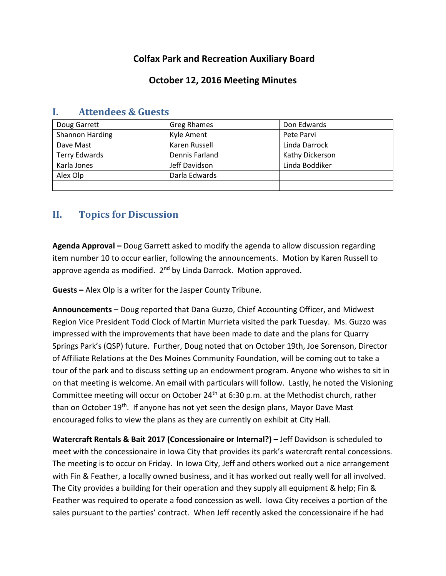# **Colfax Park and Recreation Auxiliary Board**

## **October 12, 2016 Meeting Minutes**

| Doug Garrett           | <b>Greg Rhames</b> | Don Edwards     |
|------------------------|--------------------|-----------------|
| <b>Shannon Harding</b> | Kyle Ament         | Pete Parvi      |
| Dave Mast              | Karen Russell      | Linda Darrock   |
| <b>Terry Edwards</b>   | Dennis Farland     | Kathy Dickerson |
| Karla Jones            | Jeff Davidson      | Linda Boddiker  |
| Alex Olp               | Darla Edwards      |                 |
|                        |                    |                 |

### **I. Attendees & Guests**

# **II. Topics for Discussion**

**Agenda Approval –** Doug Garrett asked to modify the agenda to allow discussion regarding item number 10 to occur earlier, following the announcements. Motion by Karen Russell to approve agenda as modified. 2<sup>nd</sup> by Linda Darrock. Motion approved.

**Guests –** Alex Olp is a writer for the Jasper County Tribune.

**Announcements –** Doug reported that Dana Guzzo, Chief Accounting Officer, and Midwest Region Vice President Todd Clock of Martin Murrieta visited the park Tuesday. Ms. Guzzo was impressed with the improvements that have been made to date and the plans for Quarry Springs Park's (QSP) future. Further, Doug noted that on October 19th, Joe Sorenson, Director of Affiliate Relations at the Des Moines Community Foundation, will be coming out to take a tour of the park and to discuss setting up an endowment program. Anyone who wishes to sit in on that meeting is welcome. An email with particulars will follow. Lastly, he noted the Visioning Committee meeting will occur on October 24<sup>th</sup> at 6:30 p.m. at the Methodist church, rather than on October 19<sup>th</sup>. If anyone has not yet seen the design plans, Mayor Dave Mast encouraged folks to view the plans as they are currently on exhibit at City Hall.

**Watercraft Rentals & Bait 2017 (Concessionaire or Internal?) –** Jeff Davidson is scheduled to meet with the concessionaire in Iowa City that provides its park's watercraft rental concessions. The meeting is to occur on Friday. In Iowa City, Jeff and others worked out a nice arrangement with Fin & Feather, a locally owned business, and it has worked out really well for all involved. The City provides a building for their operation and they supply all equipment & help; Fin & Feather was required to operate a food concession as well. Iowa City receives a portion of the sales pursuant to the parties' contract. When Jeff recently asked the concessionaire if he had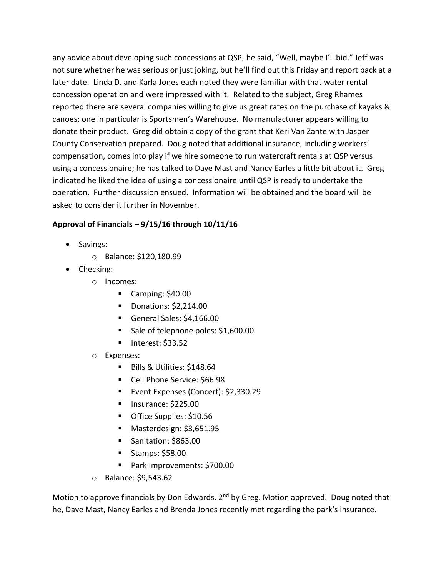any advice about developing such concessions at QSP, he said, "Well, maybe I'll bid." Jeff was not sure whether he was serious or just joking, but he'll find out this Friday and report back at a later date. Linda D. and Karla Jones each noted they were familiar with that water rental concession operation and were impressed with it. Related to the subject, Greg Rhames reported there are several companies willing to give us great rates on the purchase of kayaks & canoes; one in particular is Sportsmen's Warehouse. No manufacturer appears willing to donate their product. Greg did obtain a copy of the grant that Keri Van Zante with Jasper County Conservation prepared. Doug noted that additional insurance, including workers' compensation, comes into play if we hire someone to run watercraft rentals at QSP versus using a concessionaire; he has talked to Dave Mast and Nancy Earles a little bit about it. Greg indicated he liked the idea of using a concessionaire until QSP is ready to undertake the operation. Further discussion ensued. Information will be obtained and the board will be asked to consider it further in November.

#### **Approval of Financials – 9/15/16 through 10/11/16**

- Savings:
	- o Balance: \$120,180.99
- Checking:
	- o Incomes:
		- Camping:  $$40.00$
		- **Donations: \$2,214.00**
		- General Sales: \$4,166.00
		- Sale of telephone poles: \$1,600.00
		- $\blacksquare$  Interest: \$33.52
	- o Expenses:
		- Bills & Utilities: \$148.64
		- Cell Phone Service: \$66.98
		- Event Expenses (Concert): \$2,330.29
		- $\blacksquare$  Insurance: \$225.00
		- Office Supplies: \$10.56
		- Masterdesign: \$3,651.95
		- Sanitation: \$863.00
		- $\blacksquare$  Stamps: \$58.00
		- Park Improvements: \$700.00
	- o Balance: \$9,543.62

Motion to approve financials by Don Edwards. 2<sup>nd</sup> by Greg. Motion approved. Doug noted that he, Dave Mast, Nancy Earles and Brenda Jones recently met regarding the park's insurance.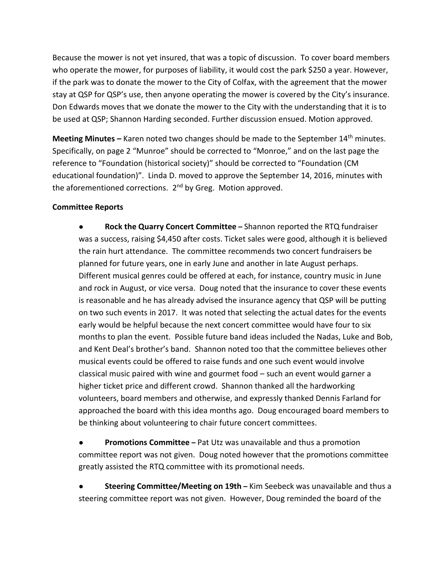Because the mower is not yet insured, that was a topic of discussion. To cover board members who operate the mower, for purposes of liability, it would cost the park \$250 a year. However, if the park was to donate the mower to the City of Colfax, with the agreement that the mower stay at QSP for QSP's use, then anyone operating the mower is covered by the City's insurance. Don Edwards moves that we donate the mower to the City with the understanding that it is to be used at QSP; Shannon Harding seconded. Further discussion ensued. Motion approved.

**Meeting Minutes –** Karen noted two changes should be made to the September 14th minutes. Specifically, on page 2 "Munroe" should be corrected to "Monroe," and on the last page the reference to "Foundation (historical society)" should be corrected to "Foundation (CM educational foundation)". Linda D. moved to approve the September 14, 2016, minutes with the aforementioned corrections. 2<sup>nd</sup> by Greg. Motion approved.

#### **Committee Reports**

● **Rock the Quarry Concert Committee –** Shannon reported the RTQ fundraiser was a success, raising \$4,450 after costs. Ticket sales were good, although it is believed the rain hurt attendance. The committee recommends two concert fundraisers be planned for future years, one in early June and another in late August perhaps. Different musical genres could be offered at each, for instance, country music in June and rock in August, or vice versa. Doug noted that the insurance to cover these events is reasonable and he has already advised the insurance agency that QSP will be putting on two such events in 2017. It was noted that selecting the actual dates for the events early would be helpful because the next concert committee would have four to six months to plan the event. Possible future band ideas included the Nadas, Luke and Bob, and Kent Deal's brother's band. Shannon noted too that the committee believes other musical events could be offered to raise funds and one such event would involve classical music paired with wine and gourmet food – such an event would garner a higher ticket price and different crowd. Shannon thanked all the hardworking volunteers, board members and otherwise, and expressly thanked Dennis Farland for approached the board with this idea months ago. Doug encouraged board members to be thinking about volunteering to chair future concert committees.

**Promotions Committee** – Pat Utz was unavailable and thus a promotion committee report was not given. Doug noted however that the promotions committee greatly assisted the RTQ committee with its promotional needs.

● **Steering Committee/Meeting on 19th –** Kim Seebeck was unavailable and thus a steering committee report was not given. However, Doug reminded the board of the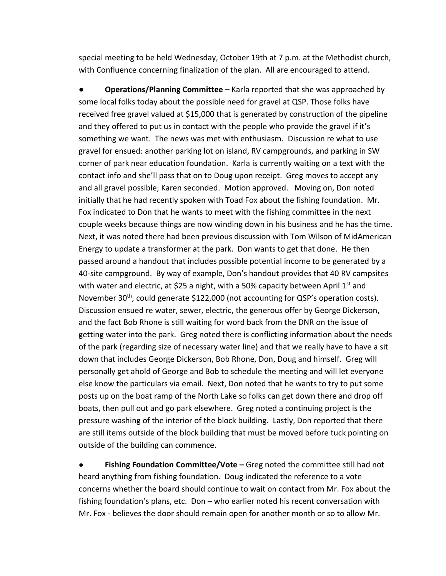special meeting to be held Wednesday, October 19th at 7 p.m. at the Methodist church, with Confluence concerning finalization of the plan. All are encouraged to attend.

**● Operations/Planning Committee –** Karla reported that she was approached by some local folks today about the possible need for gravel at QSP. Those folks have received free gravel valued at \$15,000 that is generated by construction of the pipeline and they offered to put us in contact with the people who provide the gravel if it's something we want. The news was met with enthusiasm. Discussion re what to use gravel for ensued: another parking lot on island, RV campgrounds, and parking in SW corner of park near education foundation. Karla is currently waiting on a text with the contact info and she'll pass that on to Doug upon receipt. Greg moves to accept any and all gravel possible; Karen seconded. Motion approved. Moving on, Don noted initially that he had recently spoken with Toad Fox about the fishing foundation. Mr. Fox indicated to Don that he wants to meet with the fishing committee in the next couple weeks because things are now winding down in his business and he has the time. Next, it was noted there had been previous discussion with Tom Wilson of MidAmerican Energy to update a transformer at the park. Don wants to get that done. He then passed around a handout that includes possible potential income to be generated by a 40-site campground. By way of example, Don's handout provides that 40 RV campsites with water and electric, at \$25 a night, with a 50% capacity between April  $1<sup>st</sup>$  and November 30<sup>th</sup>, could generate \$122,000 (not accounting for QSP's operation costs). Discussion ensued re water, sewer, electric, the generous offer by George Dickerson, and the fact Bob Rhone is still waiting for word back from the DNR on the issue of getting water into the park. Greg noted there is conflicting information about the needs of the park (regarding size of necessary water line) and that we really have to have a sit down that includes George Dickerson, Bob Rhone, Don, Doug and himself. Greg will personally get ahold of George and Bob to schedule the meeting and will let everyone else know the particulars via email. Next, Don noted that he wants to try to put some posts up on the boat ramp of the North Lake so folks can get down there and drop off boats, then pull out and go park elsewhere. Greg noted a continuing project is the pressure washing of the interior of the block building. Lastly, Don reported that there are still items outside of the block building that must be moved before tuck pointing on outside of the building can commence.

**Fishing Foundation Committee/Vote** – Greg noted the committee still had not heard anything from fishing foundation. Doug indicated the reference to a vote concerns whether the board should continue to wait on contact from Mr. Fox about the fishing foundation's plans, etc. Don – who earlier noted his recent conversation with Mr. Fox - believes the door should remain open for another month or so to allow Mr.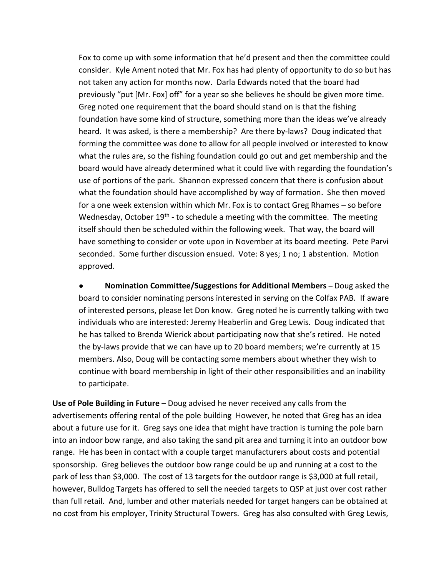Fox to come up with some information that he'd present and then the committee could consider. Kyle Ament noted that Mr. Fox has had plenty of opportunity to do so but has not taken any action for months now. Darla Edwards noted that the board had previously "put [Mr. Fox] off" for a year so she believes he should be given more time. Greg noted one requirement that the board should stand on is that the fishing foundation have some kind of structure, something more than the ideas we've already heard. It was asked, is there a membership? Are there by-laws? Doug indicated that forming the committee was done to allow for all people involved or interested to know what the rules are, so the fishing foundation could go out and get membership and the board would have already determined what it could live with regarding the foundation's use of portions of the park. Shannon expressed concern that there is confusion about what the foundation should have accomplished by way of formation. She then moved for a one week extension within which Mr. Fox is to contact Greg Rhames – so before Wednesday, October 19<sup>th</sup> - to schedule a meeting with the committee. The meeting itself should then be scheduled within the following week. That way, the board will have something to consider or vote upon in November at its board meeting. Pete Parvi seconded. Some further discussion ensued. Vote: 8 yes; 1 no; 1 abstention. Motion approved.

● **Nomination Committee/Suggestions for Additional Members –** Doug asked the board to consider nominating persons interested in serving on the Colfax PAB. If aware of interested persons, please let Don know. Greg noted he is currently talking with two individuals who are interested: Jeremy Heaberlin and Greg Lewis. Doug indicated that he has talked to Brenda Wierick about participating now that she's retired. He noted the by-laws provide that we can have up to 20 board members; we're currently at 15 members. Also, Doug will be contacting some members about whether they wish to continue with board membership in light of their other responsibilities and an inability to participate.

**Use of Pole Building in Future** – Doug advised he never received any calls from the advertisements offering rental of the pole building However, he noted that Greg has an idea about a future use for it. Greg says one idea that might have traction is turning the pole barn into an indoor bow range, and also taking the sand pit area and turning it into an outdoor bow range. He has been in contact with a couple target manufacturers about costs and potential sponsorship. Greg believes the outdoor bow range could be up and running at a cost to the park of less than \$3,000. The cost of 13 targets for the outdoor range is \$3,000 at full retail, however, Bulldog Targets has offered to sell the needed targets to QSP at just over cost rather than full retail. And, lumber and other materials needed for target hangers can be obtained at no cost from his employer, Trinity Structural Towers. Greg has also consulted with Greg Lewis,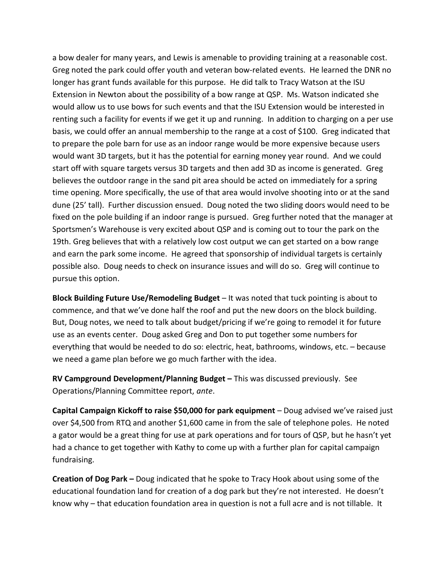a bow dealer for many years, and Lewis is amenable to providing training at a reasonable cost. Greg noted the park could offer youth and veteran bow-related events. He learned the DNR no longer has grant funds available for this purpose. He did talk to Tracy Watson at the ISU Extension in Newton about the possibility of a bow range at QSP. Ms. Watson indicated she would allow us to use bows for such events and that the ISU Extension would be interested in renting such a facility for events if we get it up and running. In addition to charging on a per use basis, we could offer an annual membership to the range at a cost of \$100. Greg indicated that to prepare the pole barn for use as an indoor range would be more expensive because users would want 3D targets, but it has the potential for earning money year round. And we could start off with square targets versus 3D targets and then add 3D as income is generated. Greg believes the outdoor range in the sand pit area should be acted on immediately for a spring time opening. More specifically, the use of that area would involve shooting into or at the sand dune (25' tall). Further discussion ensued. Doug noted the two sliding doors would need to be fixed on the pole building if an indoor range is pursued. Greg further noted that the manager at Sportsmen's Warehouse is very excited about QSP and is coming out to tour the park on the 19th. Greg believes that with a relatively low cost output we can get started on a bow range and earn the park some income. He agreed that sponsorship of individual targets is certainly possible also. Doug needs to check on insurance issues and will do so. Greg will continue to pursue this option.

**Block Building Future Use/Remodeling Budget** – It was noted that tuck pointing is about to commence, and that we've done half the roof and put the new doors on the block building. But, Doug notes, we need to talk about budget/pricing if we're going to remodel it for future use as an events center. Doug asked Greg and Don to put together some numbers for everything that would be needed to do so: electric, heat, bathrooms, windows, etc. – because we need a game plan before we go much farther with the idea.

**RV Campground Development/Planning Budget –** This was discussed previously. See Operations/Planning Committee report, *ante*.

**Capital Campaign Kickoff to raise \$50,000 for park equipment** – Doug advised we've raised just over \$4,500 from RTQ and another \$1,600 came in from the sale of telephone poles. He noted a gator would be a great thing for use at park operations and for tours of QSP, but he hasn't yet had a chance to get together with Kathy to come up with a further plan for capital campaign fundraising.

**Creation of Dog Park –** Doug indicated that he spoke to Tracy Hook about using some of the educational foundation land for creation of a dog park but they're not interested. He doesn't know why – that education foundation area in question is not a full acre and is not tillable. It